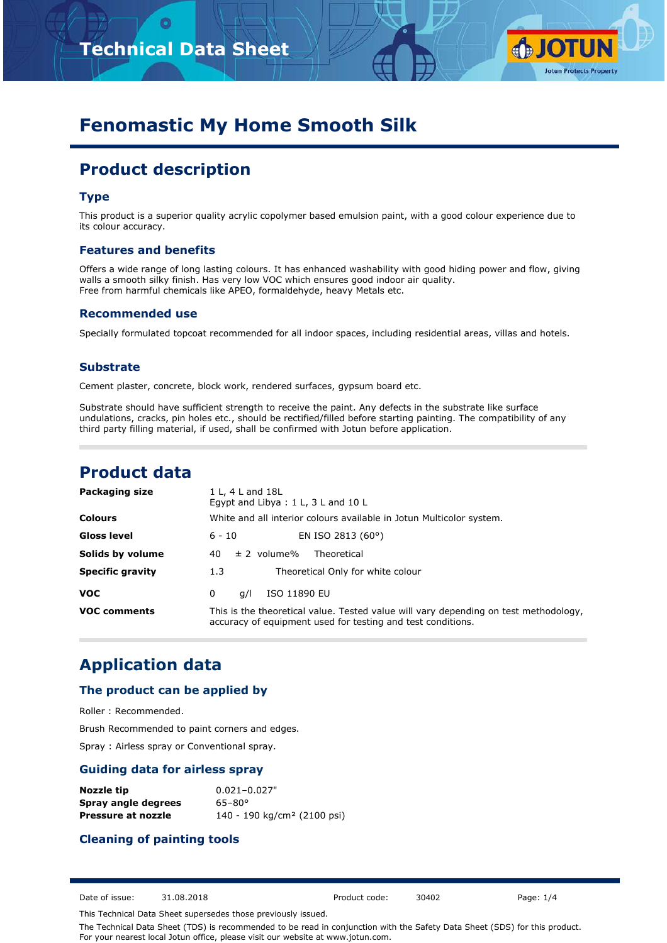

# **Fenomastic My Home Smooth Silk**

# **Product description**

## **Type**

This product is a superior quality acrylic copolymer based emulsion paint, with a good colour experience due to its colour accuracy.

### **Features and benefits**

Offers a wide range of long lasting colours. It has enhanced washability with good hiding power and flow, giving walls a smooth silky finish. Has very low VOC which ensures good indoor air quality. Free from harmful chemicals like APEO, formaldehyde, heavy Metals etc.

### **Recommended use**

Specially formulated topcoat recommended for all indoor spaces, including residential areas, villas and hotels.

### **Substrate**

Cement plaster, concrete, block work, rendered surfaces, gypsum board etc.

Substrate should have sufficient strength to receive the paint. Any defects in the substrate like surface undulations, cracks, pin holes etc., should be rectified/filled before starting painting. The compatibility of any third party filling material, if used, shall be confirmed with Jotun before application.

## **Product data**

| Packaging size                                           | 1 L, 4 L and 18L<br>Eqypt and Libya : $1 L$ , $3 L$ and $10 L$                                                                                      |  |  |  |  |  |
|----------------------------------------------------------|-----------------------------------------------------------------------------------------------------------------------------------------------------|--|--|--|--|--|
| <b>Colours</b>                                           | White and all interior colours available in Jotun Multicolor system.                                                                                |  |  |  |  |  |
| <b>Gloss level</b>                                       | EN ISO 2813 (60°)<br>$6 - 10$                                                                                                                       |  |  |  |  |  |
| Solids by volume<br>$\pm$ 2 volume%<br>Theoretical<br>40 |                                                                                                                                                     |  |  |  |  |  |
| <b>Specific gravity</b>                                  | Theoretical Only for white colour<br>1.3                                                                                                            |  |  |  |  |  |
| <b>VOC</b>                                               | ISO 11890 EU<br>0<br>a/l                                                                                                                            |  |  |  |  |  |
| <b>VOC comments</b>                                      | This is the theoretical value. Tested value will vary depending on test methodology,<br>accuracy of equipment used for testing and test conditions. |  |  |  |  |  |

## **Application data**

## **The product can be applied by**

Roller : Recommended.

Brush Recommended to paint corners and edges.

Spray : Airless spray or Conventional spray.

## **Guiding data for airless spray**

| Nozzle tip          | $0.021 - 0.027"$                        |
|---------------------|-----------------------------------------|
| Spray angle degrees | $65 - 80^{\circ}$                       |
| Pressure at nozzle  | 140 - 190 kg/cm <sup>2</sup> (2100 psi) |

## **Cleaning of painting tools**

Date of issue: 31.08.2018 Product code: 30402 Page: 1/4

This Technical Data Sheet supersedes those previously issued.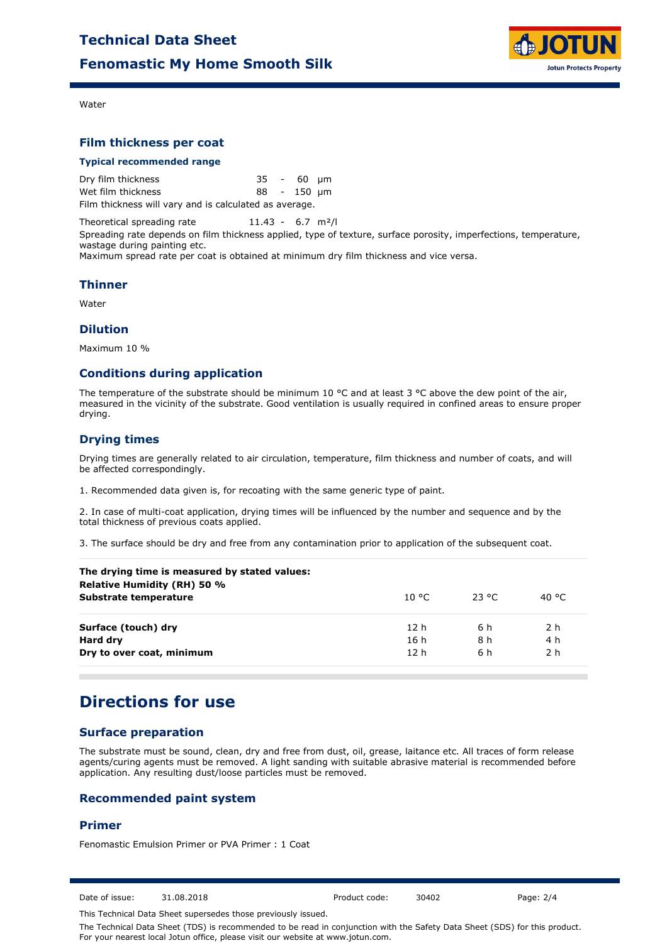

Water

## **Film thickness per coat**

#### **Typical recommended range**

| Dry film thickness                                    |  | 35 - 60 um  |  |
|-------------------------------------------------------|--|-------------|--|
| Wet film thickness                                    |  | 88 - 150 µm |  |
| Film thickness will vary and is calculated as average |  |             |  |

Film thickness will vary and is calculated as average.

Theoretical spreading rate 11.43 - 6.7 m<sup>2</sup>/l Spreading rate depends on film thickness applied, type of texture, surface porosity, imperfections, temperature, wastage during painting etc.

Maximum spread rate per coat is obtained at minimum dry film thickness and vice versa.

### **Thinner**

Water

#### **Dilution**

Maximum 10 %

## **Conditions during application**

The temperature of the substrate should be minimum 10  $^{\circ}$ C and at least 3  $^{\circ}$ C above the dew point of the air, measured in the vicinity of the substrate. Good ventilation is usually required in confined areas to ensure proper drying.

## **Drying times**

Drying times are generally related to air circulation, temperature, film thickness and number of coats, and will be affected correspondingly.

1. Recommended data given is, for recoating with the same generic type of paint.

2. In case of multi-coat application, drying times will be influenced by the number and sequence and by the total thickness of previous coats applied.

3. The surface should be dry and free from any contamination prior to application of the subsequent coat.

| The drying time is measured by stated values:<br><b>Relative Humidity (RH) 50 %</b> |                 |        |                |
|-------------------------------------------------------------------------------------|-----------------|--------|----------------|
| Substrate temperature                                                               | 10 °C.          | -23 °C | 40 °C          |
| Surface (touch) dry                                                                 | 12 <sub>h</sub> | 6 h    | 2 <sub>h</sub> |
| Hard dry                                                                            | 16h             | 8 h    | 4 h            |
| Dry to over coat, minimum                                                           | 12 <sub>h</sub> | 6 h    | 2 <sub>h</sub> |

## **Directions for use**

## **Surface preparation**

The substrate must be sound, clean, dry and free from dust, oil, grease, laitance etc. All traces of form release agents/curing agents must be removed. A light sanding with suitable abrasive material is recommended before application. Any resulting dust/loose particles must be removed.

## **Recommended paint system**

## **Primer**

Fenomastic Emulsion Primer or PVA Primer : 1 Coat

Date of issue: 31.08.2018 Product code: 30402 Page: 2/4

This Technical Data Sheet supersedes those previously issued.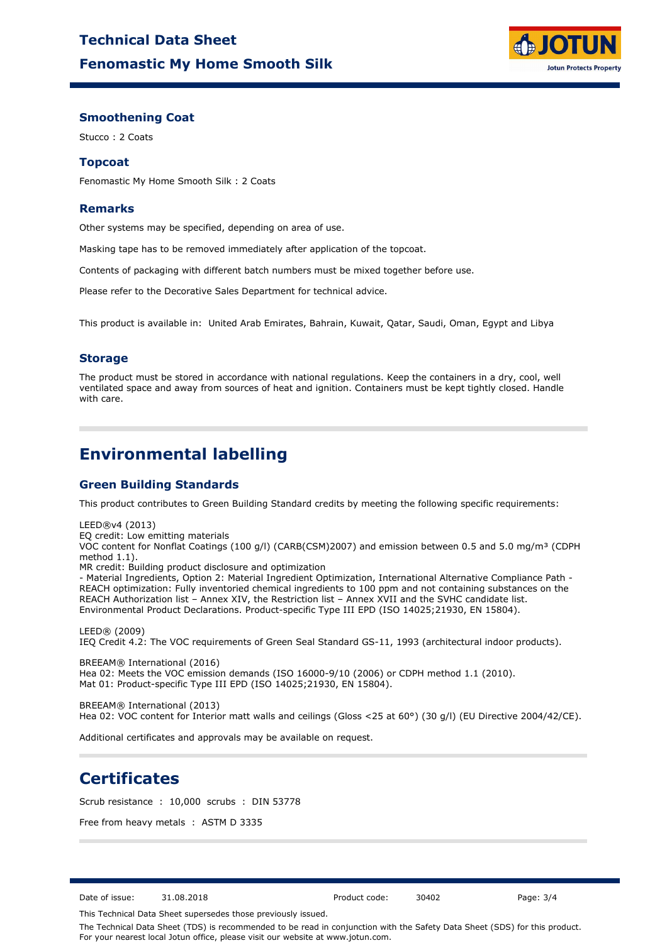

### **Smoothening Coat**

Stucco : 2 Coats

## **Topcoat**

Fenomastic My Home Smooth Silk : 2 Coats

### **Remarks**

Other systems may be specified, depending on area of use.

Masking tape has to be removed immediately after application of the topcoat.

Contents of packaging with different batch numbers must be mixed together before use.

Please refer to the Decorative Sales Department for technical advice.

This product is available in: United Arab Emirates, Bahrain, Kuwait, Qatar, Saudi, Oman, Egypt and Libya

## **Storage**

The product must be stored in accordance with national regulations. Keep the containers in a dry, cool, well ventilated space and away from sources of heat and ignition. Containers must be kept tightly closed. Handle with care.

## **Environmental labelling**

## **Green Building Standards**

This product contributes to Green Building Standard credits by meeting the following specific requirements:

LEED®v4 (2013)

EQ credit: Low emitting materials

VOC content for Nonflat Coatings (100 g/l) (CARB(CSM)2007) and emission between 0.5 and 5.0 mg/m<sup>3</sup> (CDPH method 1.1).

MR credit: Building product disclosure and optimization

- Material Ingredients, Option 2: Material Ingredient Optimization, International Alternative Compliance Path - REACH optimization: Fully inventoried chemical ingredients to 100 ppm and not containing substances on the REACH Authorization list – Annex XIV, the Restriction list – Annex XVII and the SVHC candidate list. Environmental Product Declarations. Product-specific Type III EPD (ISO 14025;21930, EN 15804).

LEED® (2009) IEQ Credit 4.2: The VOC requirements of Green Seal Standard GS-11, 1993 (architectural indoor products).

BREEAM® International (2016) Hea 02: Meets the VOC emission demands (ISO 16000-9/10 (2006) or CDPH method 1.1 (2010). Mat 01: Product-specific Type III EPD (ISO 14025;21930, EN 15804).

BREEAM® International (2013) Hea 02: VOC content for Interior matt walls and ceilings (Gloss <25 at 60°) (30 g/l) (EU Directive 2004/42/CE).

Additional certificates and approvals may be available on request.

## **Certificates**

Scrub resistance : 10,000 scrubs : DIN 53778

Free from heavy metals : ASTM D 3335

Date of issue: 31.08.2018 Product code: 30402 Page: 3/4

This Technical Data Sheet supersedes those previously issued.